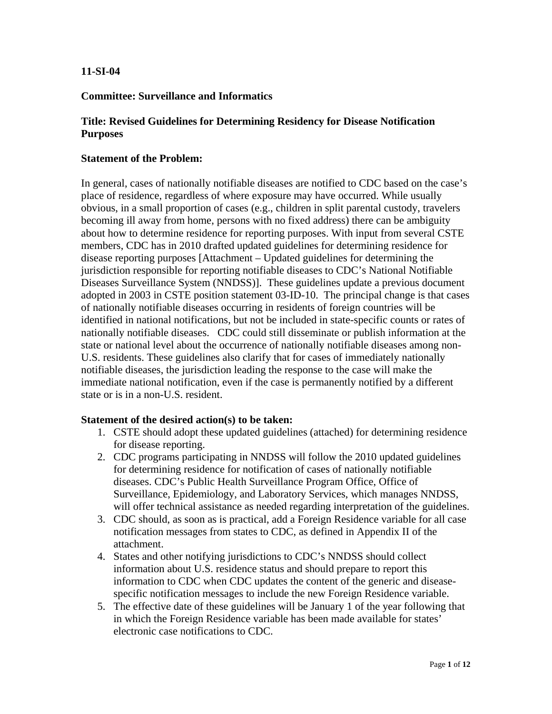## **11-SI-04**

## **Committee: Surveillance and Informatics**

## **Title: Revised Guidelines for Determining Residency for Disease Notification Purposes**

### **Statement of the Problem:**

In general, cases of nationally notifiable diseases are notified to CDC based on the case's place of residence, regardless of where exposure may have occurred. While usually obvious, in a small proportion of cases (e.g., children in split parental custody, travelers becoming ill away from home, persons with no fixed address) there can be ambiguity about how to determine residence for reporting purposes. With input from several CSTE members, CDC has in 2010 drafted updated guidelines for determining residence for disease reporting purposes [Attachment – Updated guidelines for determining the jurisdiction responsible for reporting notifiable diseases to CDC's National Notifiable Diseases Surveillance System (NNDSS)]. These guidelines update a previous document adopted in 2003 in CSTE position statement 03-ID-10. The principal change is that cases of nationally notifiable diseases occurring in residents of foreign countries will be identified in national notifications, but not be included in state-specific counts or rates of nationally notifiable diseases. CDC could still disseminate or publish information at the state or national level about the occurrence of nationally notifiable diseases among non-U.S. residents. These guidelines also clarify that for cases of immediately nationally notifiable diseases, the jurisdiction leading the response to the case will make the immediate national notification, even if the case is permanently notified by a different state or is in a non-U.S. resident.

### **Statement of the desired action(s) to be taken:**

- 1. CSTE should adopt these updated guidelines (attached) for determining residence for disease reporting.
- 2. CDC programs participating in NNDSS will follow the 2010 updated guidelines for determining residence for notification of cases of nationally notifiable diseases. CDC's Public Health Surveillance Program Office, Office of Surveillance, Epidemiology, and Laboratory Services, which manages NNDSS, will offer technical assistance as needed regarding interpretation of the guidelines.
- 3. CDC should, as soon as is practical, add a Foreign Residence variable for all case notification messages from states to CDC, as defined in Appendix II of the attachment.
- 4. States and other notifying jurisdictions to CDC's NNDSS should collect information about U.S. residence status and should prepare to report this information to CDC when CDC updates the content of the generic and diseasespecific notification messages to include the new Foreign Residence variable.
- 5. The effective date of these guidelines will be January 1 of the year following that in which the Foreign Residence variable has been made available for states' electronic case notifications to CDC.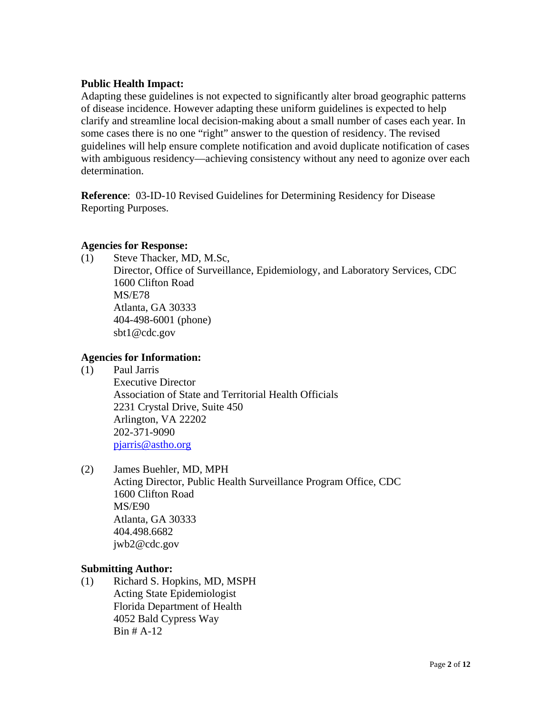## **Public Health Impact:**

Adapting these guidelines is not expected to significantly alter broad geographic patterns of disease incidence. However adapting these uniform guidelines is expected to help clarify and streamline local decision-making about a small number of cases each year. In some cases there is no one "right" answer to the question of residency. The revised guidelines will help ensure complete notification and avoid duplicate notification of cases with ambiguous residency—achieving consistency without any need to agonize over each determination.

**Reference**: 03-ID-10 Revised Guidelines for Determining Residency for Disease Reporting Purposes.

## **Agencies for Response:**

(1) Steve Thacker, MD, M.Sc,

Director, Office of Surveillance, Epidemiology, and Laboratory Services, CDC 1600 Clifton Road MS/E78 Atlanta, GA 30333 404-498-6001 (phone) sbt1@cdc.gov

# **Agencies for Information:**

(1) Paul Jarris

 Executive Director Association of State and Territorial Health Officials 2231 Crystal Drive, Suite 450 Arlington, VA 22202 202-371-9090 pjarris@astho.org

(2) James Buehler, MD, MPH

Acting Director, Public Health Surveillance Program Office, CDC 1600 Clifton Road MS/E90 Atlanta, GA 30333 404.498.6682 jwb2@cdc.gov

## **Submitting Author:**

(1) Richard S. Hopkins, MD, MSPH Acting State Epidemiologist Florida Department of Health 4052 Bald Cypress Way Bin # A-12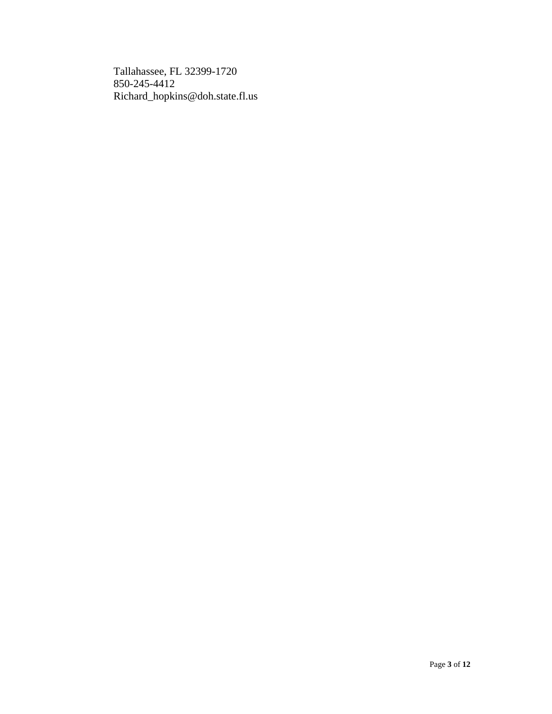Tallahassee, FL 32399-1720 850-245-4412 Richard\_hopkins@doh.state.fl.us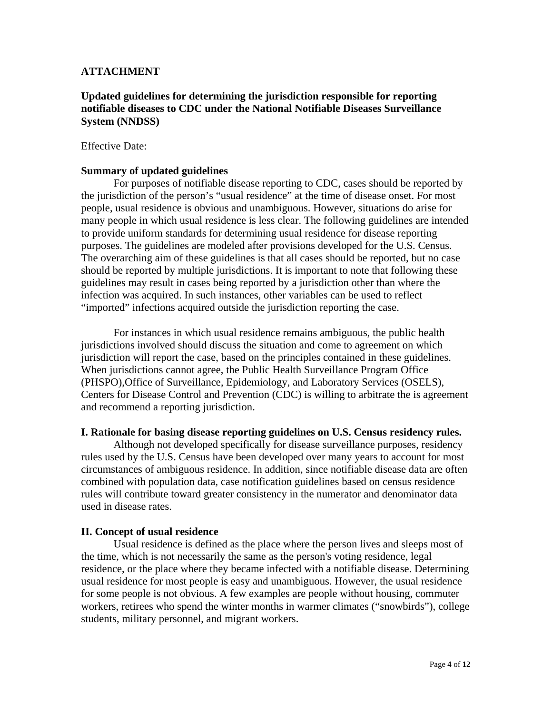## **ATTACHMENT**

## **Updated guidelines for determining the jurisdiction responsible for reporting notifiable diseases to CDC under the National Notifiable Diseases Surveillance System (NNDSS)**

### Effective Date:

### **Summary of updated guidelines**

For purposes of notifiable disease reporting to CDC, cases should be reported by the jurisdiction of the person's "usual residence" at the time of disease onset. For most people, usual residence is obvious and unambiguous. However, situations do arise for many people in which usual residence is less clear. The following guidelines are intended to provide uniform standards for determining usual residence for disease reporting purposes. The guidelines are modeled after provisions developed for the U.S. Census. The overarching aim of these guidelines is that all cases should be reported, but no case should be reported by multiple jurisdictions. It is important to note that following these guidelines may result in cases being reported by a jurisdiction other than where the infection was acquired. In such instances, other variables can be used to reflect "imported" infections acquired outside the jurisdiction reporting the case.

For instances in which usual residence remains ambiguous, the public health jurisdictions involved should discuss the situation and come to agreement on which jurisdiction will report the case, based on the principles contained in these guidelines. When jurisdictions cannot agree, the Public Health Surveillance Program Office (PHSPO),Office of Surveillance, Epidemiology, and Laboratory Services (OSELS), Centers for Disease Control and Prevention (CDC) is willing to arbitrate the is agreement and recommend a reporting jurisdiction.

#### **I. Rationale for basing disease reporting guidelines on U.S. Census residency rules.**

Although not developed specifically for disease surveillance purposes, residency rules used by the U.S. Census have been developed over many years to account for most circumstances of ambiguous residence. In addition, since notifiable disease data are often combined with population data, case notification guidelines based on census residence rules will contribute toward greater consistency in the numerator and denominator data used in disease rates.

### **II. Concept of usual residence**

Usual residence is defined as the place where the person lives and sleeps most of the time, which is not necessarily the same as the person's voting residence, legal residence, or the place where they became infected with a notifiable disease. Determining usual residence for most people is easy and unambiguous. However, the usual residence for some people is not obvious. A few examples are people without housing, commuter workers, retirees who spend the winter months in warmer climates ("snowbirds"), college students, military personnel, and migrant workers.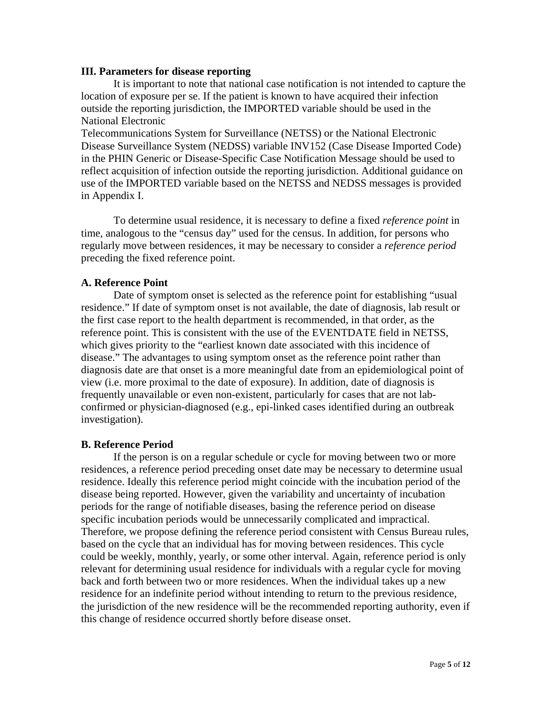### **III. Parameters for disease reporting**

It is important to note that national case notification is not intended to capture the location of exposure per se. If the patient is known to have acquired their infection outside the reporting jurisdiction, the IMPORTED variable should be used in the National Electronic

Telecommunications System for Surveillance (NETSS) or the National Electronic Disease Surveillance System (NEDSS) variable INV152 (Case Disease Imported Code) in the PHIN Generic or Disease-Specific Case Notification Message should be used to reflect acquisition of infection outside the reporting jurisdiction. Additional guidance on use of the IMPORTED variable based on the NETSS and NEDSS messages is provided in Appendix I.

 To determine usual residence, it is necessary to define a fixed *reference point* in time, analogous to the "census day" used for the census. In addition, for persons who regularly move between residences, it may be necessary to consider a *reference period*  preceding the fixed reference point.

## **A. Reference Point**

 Date of symptom onset is selected as the reference point for establishing "usual residence." If date of symptom onset is not available, the date of diagnosis, lab result or the first case report to the health department is recommended, in that order, as the reference point. This is consistent with the use of the EVENTDATE field in NETSS, which gives priority to the "earliest known date associated with this incidence of disease." The advantages to using symptom onset as the reference point rather than diagnosis date are that onset is a more meaningful date from an epidemiological point of view (i.e. more proximal to the date of exposure). In addition, date of diagnosis is frequently unavailable or even non-existent, particularly for cases that are not labconfirmed or physician-diagnosed (e.g., epi-linked cases identified during an outbreak investigation).

## **B. Reference Period**

 If the person is on a regular schedule or cycle for moving between two or more residences, a reference period preceding onset date may be necessary to determine usual residence. Ideally this reference period might coincide with the incubation period of the disease being reported. However, given the variability and uncertainty of incubation periods for the range of notifiable diseases, basing the reference period on disease specific incubation periods would be unnecessarily complicated and impractical. Therefore, we propose defining the reference period consistent with Census Bureau rules, based on the cycle that an individual has for moving between residences. This cycle could be weekly, monthly, yearly, or some other interval. Again, reference period is only relevant for determining usual residence for individuals with a regular cycle for moving back and forth between two or more residences. When the individual takes up a new residence for an indefinite period without intending to return to the previous residence, the jurisdiction of the new residence will be the recommended reporting authority, even if this change of residence occurred shortly before disease onset.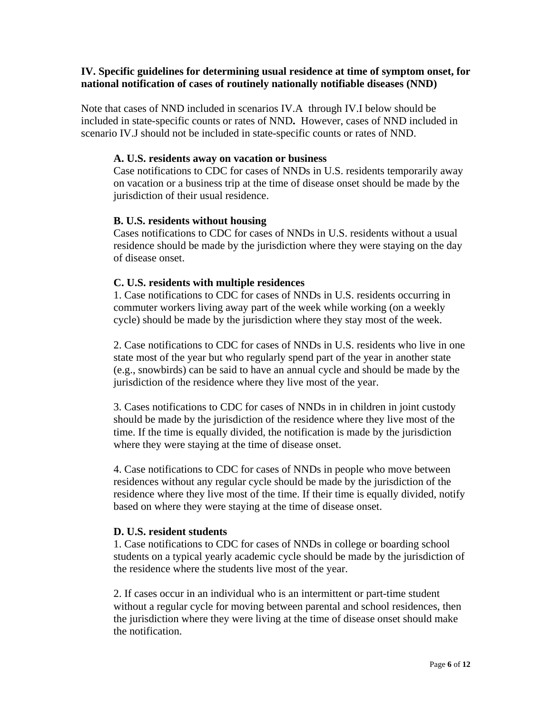### **IV. Specific guidelines for determining usual residence at time of symptom onset, for national notification of cases of routinely nationally notifiable diseases (NND)**

Note that cases of NND included in scenarios IV.A through IV.I below should be included in state-specific counts or rates of NND**.** However, cases of NND included in scenario IV.J should not be included in state-specific counts or rates of NND.

### **A. U.S. residents away on vacation or business**

Case notifications to CDC for cases of NNDs in U.S. residents temporarily away on vacation or a business trip at the time of disease onset should be made by the jurisdiction of their usual residence.

### **B. U.S. residents without housing**

Cases notifications to CDC for cases of NNDs in U.S. residents without a usual residence should be made by the jurisdiction where they were staying on the day of disease onset.

## **C. U.S. residents with multiple residences**

1. Case notifications to CDC for cases of NNDs in U.S. residents occurring in commuter workers living away part of the week while working (on a weekly cycle) should be made by the jurisdiction where they stay most of the week.

2. Case notifications to CDC for cases of NNDs in U.S. residents who live in one state most of the year but who regularly spend part of the year in another state (e.g., snowbirds) can be said to have an annual cycle and should be made by the jurisdiction of the residence where they live most of the year.

3. Cases notifications to CDC for cases of NNDs in in children in joint custody should be made by the jurisdiction of the residence where they live most of the time. If the time is equally divided, the notification is made by the jurisdiction where they were staying at the time of disease onset.

4. Case notifications to CDC for cases of NNDs in people who move between residences without any regular cycle should be made by the jurisdiction of the residence where they live most of the time. If their time is equally divided, notify based on where they were staying at the time of disease onset.

### **D. U.S. resident students**

1. Case notifications to CDC for cases of NNDs in college or boarding school students on a typical yearly academic cycle should be made by the jurisdiction of the residence where the students live most of the year.

2. If cases occur in an individual who is an intermittent or part-time student without a regular cycle for moving between parental and school residences, then the jurisdiction where they were living at the time of disease onset should make the notification.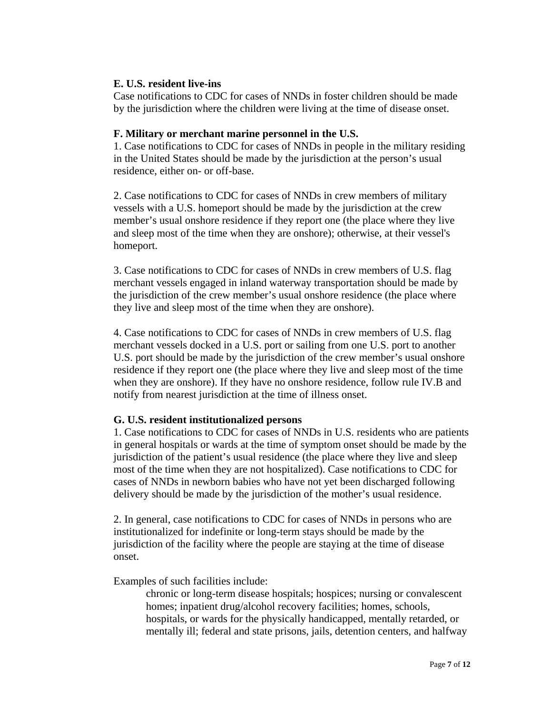## **E. U.S. resident live-ins**

Case notifications to CDC for cases of NNDs in foster children should be made by the jurisdiction where the children were living at the time of disease onset.

## **F. Military or merchant marine personnel in the U.S.**

1. Case notifications to CDC for cases of NNDs in people in the military residing in the United States should be made by the jurisdiction at the person's usual residence, either on- or off-base.

2. Case notifications to CDC for cases of NNDs in crew members of military vessels with a U.S. homeport should be made by the jurisdiction at the crew member's usual onshore residence if they report one (the place where they live and sleep most of the time when they are onshore); otherwise, at their vessel's homeport.

3. Case notifications to CDC for cases of NNDs in crew members of U.S. flag merchant vessels engaged in inland waterway transportation should be made by the jurisdiction of the crew member's usual onshore residence (the place where they live and sleep most of the time when they are onshore).

4. Case notifications to CDC for cases of NNDs in crew members of U.S. flag merchant vessels docked in a U.S. port or sailing from one U.S. port to another U.S. port should be made by the jurisdiction of the crew member's usual onshore residence if they report one (the place where they live and sleep most of the time when they are onshore). If they have no onshore residence, follow rule IV.B and notify from nearest jurisdiction at the time of illness onset.

# **G. U.S. resident institutionalized persons**

1. Case notifications to CDC for cases of NNDs in U.S. residents who are patients in general hospitals or wards at the time of symptom onset should be made by the jurisdiction of the patient's usual residence (the place where they live and sleep most of the time when they are not hospitalized). Case notifications to CDC for cases of NNDs in newborn babies who have not yet been discharged following delivery should be made by the jurisdiction of the mother's usual residence.

2. In general, case notifications to CDC for cases of NNDs in persons who are institutionalized for indefinite or long-term stays should be made by the jurisdiction of the facility where the people are staying at the time of disease onset.

Examples of such facilities include:

chronic or long-term disease hospitals; hospices; nursing or convalescent homes; inpatient drug/alcohol recovery facilities; homes, schools, hospitals, or wards for the physically handicapped, mentally retarded, or mentally ill; federal and state prisons, jails, detention centers, and halfway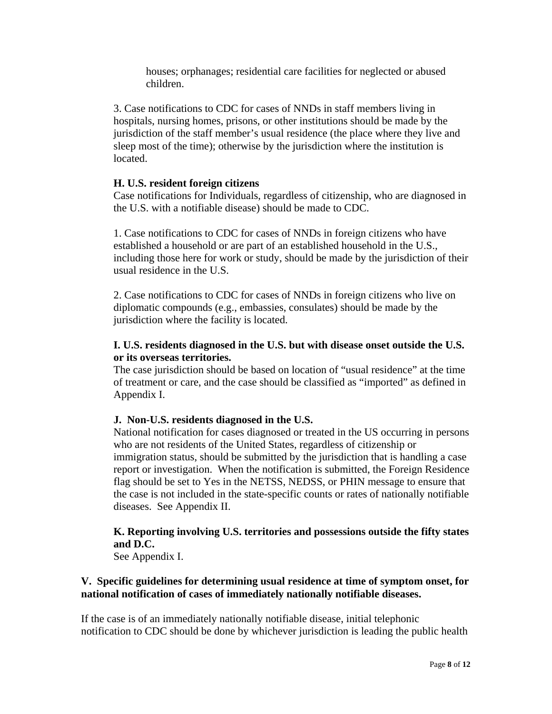houses; orphanages; residential care facilities for neglected or abused children.

3. Case notifications to CDC for cases of NNDs in staff members living in hospitals, nursing homes, prisons, or other institutions should be made by the jurisdiction of the staff member's usual residence (the place where they live and sleep most of the time); otherwise by the jurisdiction where the institution is located.

## **H. U.S. resident foreign citizens**

Case notifications for Individuals, regardless of citizenship, who are diagnosed in the U.S. with a notifiable disease) should be made to CDC.

1. Case notifications to CDC for cases of NNDs in foreign citizens who have established a household or are part of an established household in the U.S., including those here for work or study, should be made by the jurisdiction of their usual residence in the U.S.

2. Case notifications to CDC for cases of NNDs in foreign citizens who live on diplomatic compounds (e.g., embassies, consulates) should be made by the jurisdiction where the facility is located.

# **I. U.S. residents diagnosed in the U.S. but with disease onset outside the U.S. or its overseas territories.**

The case jurisdiction should be based on location of "usual residence" at the time of treatment or care, and the case should be classified as "imported" as defined in Appendix I.

# **J. Non-U.S. residents diagnosed in the U.S.**

National notification for cases diagnosed or treated in the US occurring in persons who are not residents of the United States, regardless of citizenship or immigration status, should be submitted by the jurisdiction that is handling a case report or investigation. When the notification is submitted, the Foreign Residence flag should be set to Yes in the NETSS, NEDSS, or PHIN message to ensure that the case is not included in the state-specific counts or rates of nationally notifiable diseases. See Appendix II.

# **K. Reporting involving U.S. territories and possessions outside the fifty states and D.C.**

See Appendix I.

# **V. Specific guidelines for determining usual residence at time of symptom onset, for national notification of cases of immediately nationally notifiable diseases.**

If the case is of an immediately nationally notifiable disease, initial telephonic notification to CDC should be done by whichever jurisdiction is leading the public health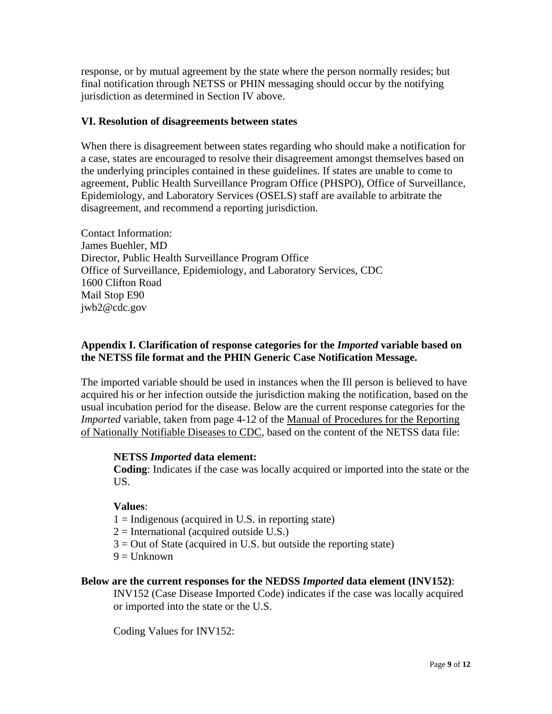response, or by mutual agreement by the state where the person normally resides; but final notification through NETSS or PHIN messaging should occur by the notifying jurisdiction as determined in Section IV above.

## **VI. Resolution of disagreements between states**

When there is disagreement between states regarding who should make a notification for a case, states are encouraged to resolve their disagreement amongst themselves based on the underlying principles contained in these guidelines. If states are unable to come to agreement, Public Health Surveillance Program Office (PHSPO), Office of Surveillance, Epidemiology, and Laboratory Services (OSELS) staff are available to arbitrate the disagreement, and recommend a reporting jurisdiction.

Contact Information: James Buehler, MD Director, Public Health Surveillance Program Office Office of Surveillance, Epidemiology, and Laboratory Services, CDC 1600 Clifton Road Mail Stop E90 jwb2@cdc.gov

## **Appendix I. Clarification of response categories for the** *Imported* **variable based on the NETSS file format and the PHIN Generic Case Notification Message.**

The imported variable should be used in instances when the Ill person is believed to have acquired his or her infection outside the jurisdiction making the notification, based on the usual incubation period for the disease. Below are the current response categories for the *Imported* variable, taken from page 4-12 of the Manual of Procedures for the Reporting of Nationally Notifiable Diseases to CDC, based on the content of the NETSS data file:

## **NETSS** *Imported* **data element:**

**Coding**: Indicates if the case was locally acquired or imported into the state or the US.

## **Values**:

- $1 =$ Indigenous (acquired in U.S. in reporting state)
- $2 =$ International (acquired outside U.S.)
- $3 =$  Out of State (acquired in U.S. but outside the reporting state)
- $9 =$  Unknown

## **Below are the current responses for the NEDSS** *Imported* **data element (INV152)**:

INV152 (Case Disease Imported Code) indicates if the case was locally acquired or imported into the state or the U.S.

Coding Values for INV152: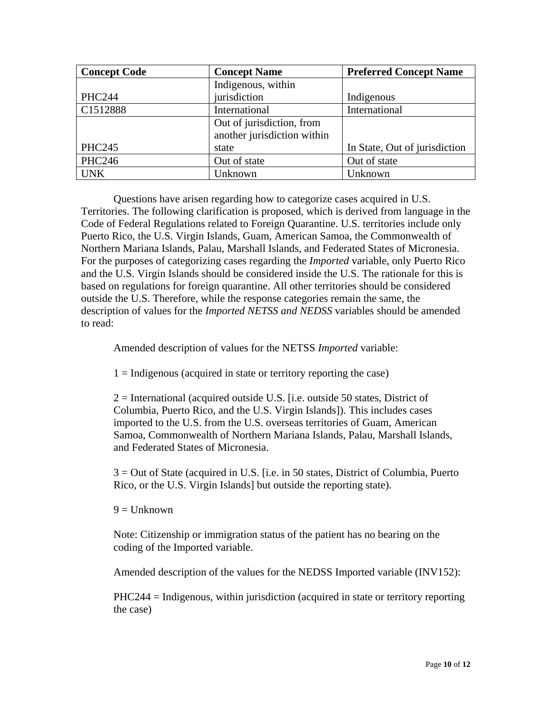| <b>Concept Code</b> | <b>Concept Name</b>         | <b>Preferred Concept Name</b> |
|---------------------|-----------------------------|-------------------------------|
|                     | Indigenous, within          |                               |
| <b>PHC244</b>       | jurisdiction                | Indigenous                    |
| C1512888            | International               | International                 |
|                     | Out of jurisdiction, from   |                               |
|                     | another jurisdiction within |                               |
| <b>PHC245</b>       | state                       | In State, Out of jurisdiction |
| <b>PHC246</b>       | Out of state                | Out of state                  |
| <b>UNK</b>          | Unknown                     | Unknown                       |

Questions have arisen regarding how to categorize cases acquired in U.S. Territories. The following clarification is proposed, which is derived from language in the Code of Federal Regulations related to Foreign Quarantine. U.S. territories include only Puerto Rico, the U.S. Virgin Islands, Guam, American Samoa, the Commonwealth of Northern Mariana Islands, Palau, Marshall Islands, and Federated States of Micronesia. For the purposes of categorizing cases regarding the *Imported* variable, only Puerto Rico and the U.S. Virgin Islands should be considered inside the U.S. The rationale for this is based on regulations for foreign quarantine. All other territories should be considered outside the U.S. Therefore, while the response categories remain the same, the description of values for the *Imported NETSS and NEDSS* variables should be amended to read:

Amended description of values for the NETSS *Imported* variable:

 $1 =$ Indigenous (acquired in state or territory reporting the case)

2 = International (acquired outside U.S. [i.e. outside 50 states, District of Columbia, Puerto Rico, and the U.S. Virgin Islands]). This includes cases imported to the U.S. from the U.S. overseas territories of Guam, American Samoa, Commonwealth of Northern Mariana Islands, Palau, Marshall Islands, and Federated States of Micronesia.

3 = Out of State (acquired in U.S. [i.e. in 50 states, District of Columbia, Puerto Rico, or the U.S. Virgin Islands] but outside the reporting state).

 $9 =$  Unknown

Note: Citizenship or immigration status of the patient has no bearing on the coding of the Imported variable.

Amended description of the values for the NEDSS Imported variable (INV152):

PHC244 = Indigenous, within jurisdiction (acquired in state or territory reporting the case)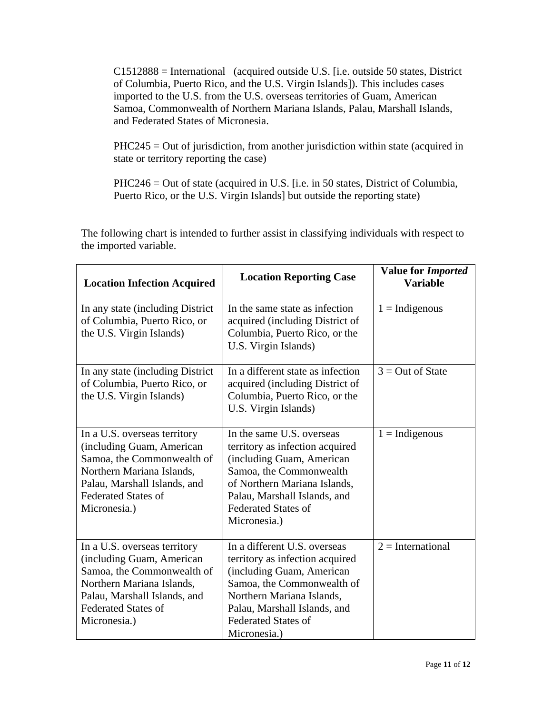C1512888 = International (acquired outside U.S. [i.e. outside 50 states, District of Columbia, Puerto Rico, and the U.S. Virgin Islands]). This includes cases imported to the U.S. from the U.S. overseas territories of Guam, American Samoa, Commonwealth of Northern Mariana Islands, Palau, Marshall Islands, and Federated States of Micronesia.

PHC245 = Out of jurisdiction, from another jurisdiction within state (acquired in state or territory reporting the case)

PHC246 = Out of state (acquired in U.S. [i.e. in 50 states, District of Columbia, Puerto Rico, or the U.S. Virgin Islands] but outside the reporting state)

| <b>Location Infection Acquired</b>                                                                                                                                                                 | <b>Location Reporting Case</b>                                                                                                                                                                                                        | <b>Value for Imported</b><br><b>Variable</b> |
|----------------------------------------------------------------------------------------------------------------------------------------------------------------------------------------------------|---------------------------------------------------------------------------------------------------------------------------------------------------------------------------------------------------------------------------------------|----------------------------------------------|
| In any state (including District)<br>of Columbia, Puerto Rico, or<br>the U.S. Virgin Islands)                                                                                                      | In the same state as infection<br>acquired (including District of<br>Columbia, Puerto Rico, or the<br>U.S. Virgin Islands)                                                                                                            | $1 = Indigenous$                             |
| In any state (including District)<br>of Columbia, Puerto Rico, or<br>the U.S. Virgin Islands)                                                                                                      | In a different state as infection<br>acquired (including District of<br>Columbia, Puerto Rico, or the<br>U.S. Virgin Islands)                                                                                                         | $3 = Out of State$                           |
| In a U.S. overseas territory<br>(including Guam, American<br>Samoa, the Commonwealth of<br>Northern Mariana Islands,<br>Palau, Marshall Islands, and<br><b>Federated States of</b><br>Micronesia.) | In the same U.S. overseas<br>territory as infection acquired<br>(including Guam, American<br>Samoa, the Commonwealth<br>of Northern Mariana Islands,<br>Palau, Marshall Islands, and<br><b>Federated States of</b><br>Micronesia.)    | $1 = Indigenous$                             |
| In a U.S. overseas territory<br>(including Guam, American<br>Samoa, the Commonwealth of<br>Northern Mariana Islands,<br>Palau, Marshall Islands, and<br><b>Federated States of</b><br>Micronesia.) | In a different U.S. overseas<br>territory as infection acquired<br>(including Guam, American<br>Samoa, the Commonwealth of<br>Northern Mariana Islands,<br>Palau, Marshall Islands, and<br><b>Federated States of</b><br>Micronesia.) | $2 = International$                          |

The following chart is intended to further assist in classifying individuals with respect to the imported variable.